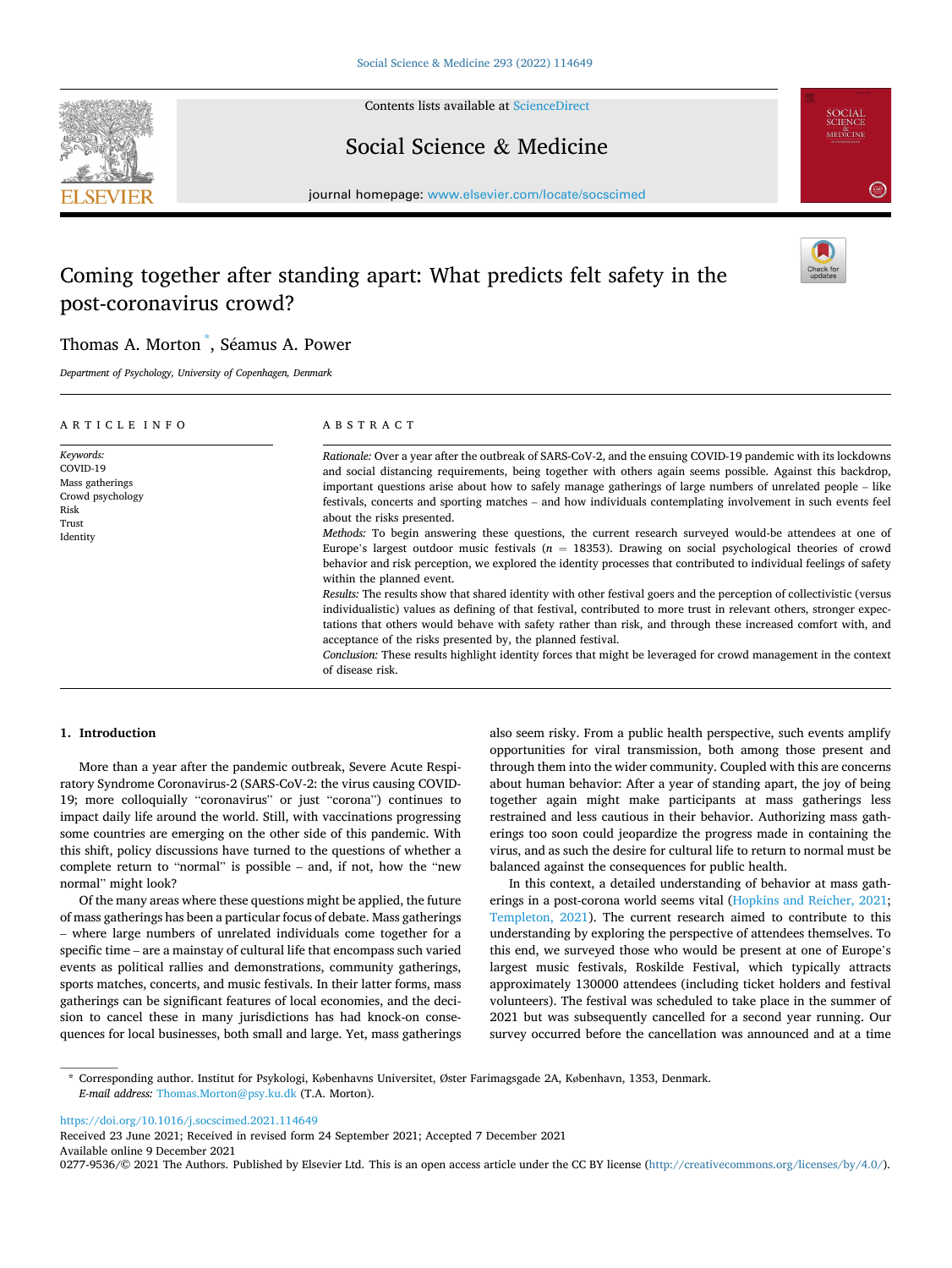

Contents lists available at [ScienceDirect](www.sciencedirect.com/science/journal/02779536)

## Social Science & Medicine



journal homepage: [www.elsevier.com/locate/socscimed](https://www.elsevier.com/locate/socscimed)

# Coming together after standing apart: What predicts felt safety in the post-coronavirus crowd?



## Thomas A. Morton<sup>\*</sup>, Séamus A. Power

*Department of Psychology, University of Copenhagen, Denmark* 

| ARTICLE INFO                                                                              | ABSTRACT                                                                                                                                                                                                                                                                                                                                                                                                                                                                                                                                                                                                                                                                                                                                                                                                                                                                                                                                                                                                                                                                                                                                                                                                                                                                                                                                                                                                                                     |  |  |  |  |  |  |  |
|-------------------------------------------------------------------------------------------|----------------------------------------------------------------------------------------------------------------------------------------------------------------------------------------------------------------------------------------------------------------------------------------------------------------------------------------------------------------------------------------------------------------------------------------------------------------------------------------------------------------------------------------------------------------------------------------------------------------------------------------------------------------------------------------------------------------------------------------------------------------------------------------------------------------------------------------------------------------------------------------------------------------------------------------------------------------------------------------------------------------------------------------------------------------------------------------------------------------------------------------------------------------------------------------------------------------------------------------------------------------------------------------------------------------------------------------------------------------------------------------------------------------------------------------------|--|--|--|--|--|--|--|
| Keywords:<br>COVID-19<br>Mass gatherings<br>Crowd psychology<br>Risk<br>Trust<br>Identity | Rationale: Over a year after the outbreak of SARS-CoV-2, and the ensuing COVID-19 pandemic with its lockdowns<br>and social distancing requirements, being together with others again seems possible. Against this backdrop,<br>important questions arise about how to safely manage gatherings of large numbers of unrelated people – like<br>festivals, concerts and sporting matches – and how individuals contemplating involvement in such events feel<br>about the risks presented.<br>Methods: To begin answering these questions, the current research surveyed would-be attendees at one of<br>Europe's largest outdoor music festivals ( $n = 18353$ ). Drawing on social psychological theories of crowd<br>behavior and risk perception, we explored the identity processes that contributed to individual feelings of safety<br>within the planned event.<br>Results: The results show that shared identity with other festival goers and the perception of collectivistic (versus<br>individualistic) values as defining of that festival, contributed to more trust in relevant others, stronger expec-<br>tations that others would behave with safety rather than risk, and through these increased comfort with, and<br>acceptance of the risks presented by, the planned festival.<br>Conclusion: These results highlight identity forces that might be leveraged for crowd management in the context<br>of disease risk. |  |  |  |  |  |  |  |

#### **1. Introduction**

More than a year after the pandemic outbreak, Severe Acute Respiratory Syndrome Coronavirus-2 (SARS-CoV-2: the virus causing COVID-19; more colloquially "coronavirus" or just "corona") continues to impact daily life around the world. Still, with vaccinations progressing some countries are emerging on the other side of this pandemic. With this shift, policy discussions have turned to the questions of whether a complete return to "normal" is possible – and, if not, how the "new normal" might look?

Of the many areas where these questions might be applied, the future of mass gatherings has been a particular focus of debate. Mass gatherings – where large numbers of unrelated individuals come together for a specific time – are a mainstay of cultural life that encompass such varied events as political rallies and demonstrations, community gatherings, sports matches, concerts, and music festivals. In their latter forms, mass gatherings can be significant features of local economies, and the decision to cancel these in many jurisdictions has had knock-on consequences for local businesses, both small and large. Yet, mass gatherings also seem risky. From a public health perspective, such events amplify opportunities for viral transmission, both among those present and through them into the wider community. Coupled with this are concerns about human behavior: After a year of standing apart, the joy of being together again might make participants at mass gatherings less restrained and less cautious in their behavior. Authorizing mass gatherings too soon could jeopardize the progress made in containing the virus, and as such the desire for cultural life to return to normal must be balanced against the consequences for public health.

In this context, a detailed understanding of behavior at mass gatherings in a post-corona world seems vital ([Hopkins and Reicher, 2021](#page-7-0); [Templeton, 2021](#page-8-0)). The current research aimed to contribute to this understanding by exploring the perspective of attendees themselves. To this end, we surveyed those who would be present at one of Europe's largest music festivals, Roskilde Festival, which typically attracts approximately 130000 attendees (including ticket holders and festival volunteers). The festival was scheduled to take place in the summer of 2021 but was subsequently cancelled for a second year running. Our survey occurred before the cancellation was announced and at a time

\* Corresponding author. Institut for Psykologi, Københavns Universitet, Øster Farimagsgade 2A, København, 1353, Denmark. *E-mail address:* [Thomas.Morton@psy.ku.dk](mailto:Thomas.Morton@psy.ku.dk) (T.A. Morton).

<https://doi.org/10.1016/j.socscimed.2021.114649>

Available online 9 December 2021 Received 23 June 2021; Received in revised form 24 September 2021; Accepted 7 December 2021

0277-9536/© 2021 The Authors. Published by Elsevier Ltd. This is an open access article under the CC BY license [\(http://creativecommons.org/licenses/by/4.0/\)](http://creativecommons.org/licenses/by/4.0/).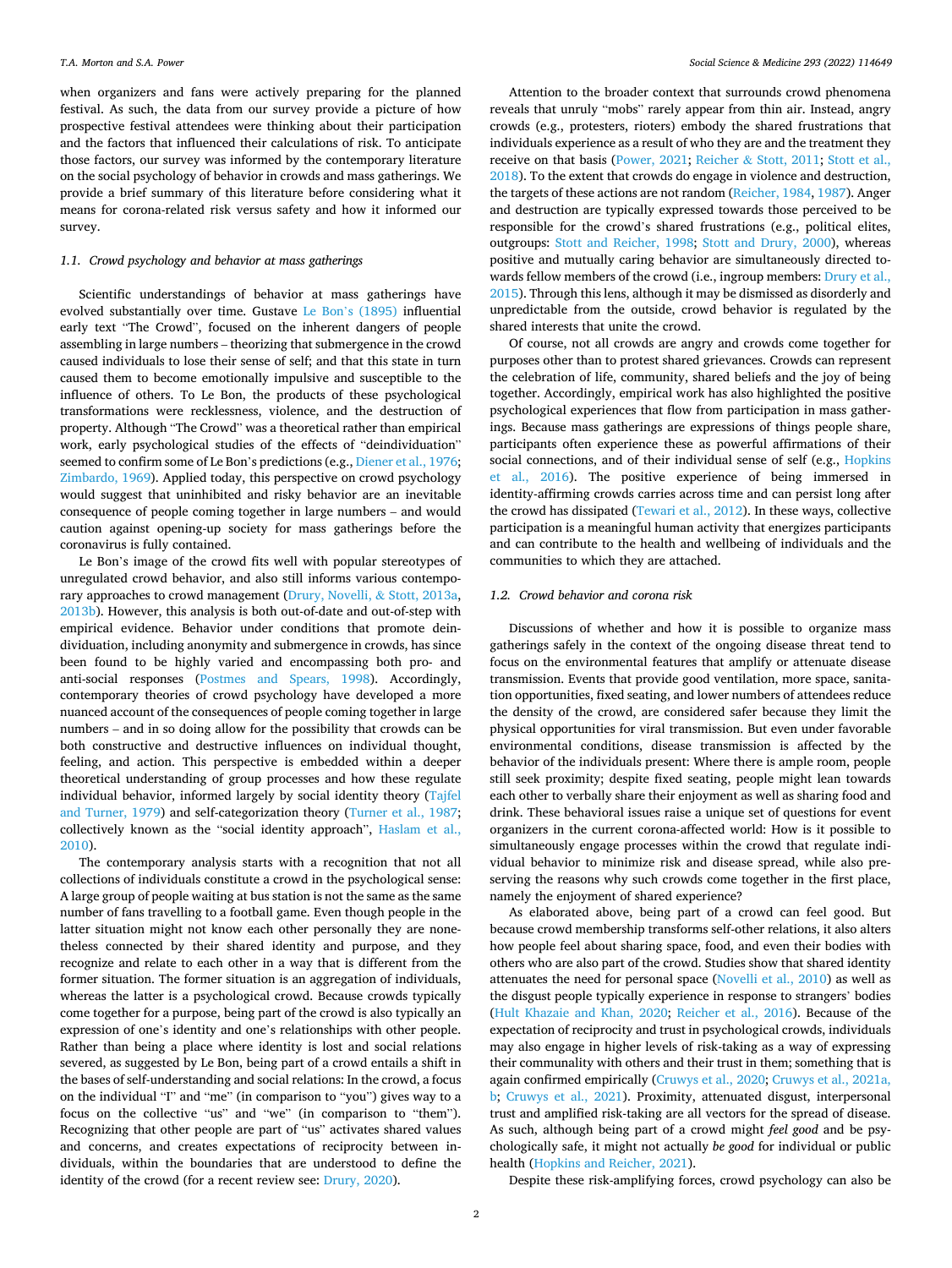when organizers and fans were actively preparing for the planned festival. As such, the data from our survey provide a picture of how prospective festival attendees were thinking about their participation and the factors that influenced their calculations of risk. To anticipate those factors, our survey was informed by the contemporary literature on the social psychology of behavior in crowds and mass gatherings. We provide a brief summary of this literature before considering what it means for corona-related risk versus safety and how it informed our survey.

## *1.1. Crowd psychology and behavior at mass gatherings*

Scientific understandings of behavior at mass gatherings have evolved substantially over time. Gustave Le Bon'[s \(1895\)](#page-7-0) influential early text "The Crowd", focused on the inherent dangers of people assembling in large numbers – theorizing that submergence in the crowd caused individuals to lose their sense of self; and that this state in turn caused them to become emotionally impulsive and susceptible to the influence of others. To Le Bon, the products of these psychological transformations were recklessness, violence, and the destruction of property. Although "The Crowd" was a theoretical rather than empirical work, early psychological studies of the effects of "deindividuation" seemed to confirm some of Le Bon's predictions (e.g., [Diener et al., 1976](#page-7-0); [Zimbardo, 1969](#page-8-0)). Applied today, this perspective on crowd psychology would suggest that uninhibited and risky behavior are an inevitable consequence of people coming together in large numbers – and would caution against opening-up society for mass gatherings before the coronavirus is fully contained.

Le Bon's image of the crowd fits well with popular stereotypes of unregulated crowd behavior, and also still informs various contemporary approaches to crowd management [\(Drury, Novelli,](#page-7-0) & Stott, 2013a, [2013b\)](#page-7-0). However, this analysis is both out-of-date and out-of-step with empirical evidence. Behavior under conditions that promote deindividuation, including anonymity and submergence in crowds, has since been found to be highly varied and encompassing both pro- and anti-social responses [\(Postmes and Spears, 1998\)](#page-8-0). Accordingly, contemporary theories of crowd psychology have developed a more nuanced account of the consequences of people coming together in large numbers – and in so doing allow for the possibility that crowds can be both constructive and destructive influences on individual thought, feeling, and action. This perspective is embedded within a deeper theoretical understanding of group processes and how these regulate individual behavior, informed largely by social identity theory ([Tajfel](#page-8-0)  [and Turner, 1979\)](#page-8-0) and self-categorization theory [\(Turner et al., 1987](#page-8-0); collectively known as the "social identity approach", [Haslam et al.,](#page-7-0)  [2010\)](#page-7-0).

The contemporary analysis starts with a recognition that not all collections of individuals constitute a crowd in the psychological sense: A large group of people waiting at bus station is not the same as the same number of fans travelling to a football game. Even though people in the latter situation might not know each other personally they are nonetheless connected by their shared identity and purpose, and they recognize and relate to each other in a way that is different from the former situation. The former situation is an aggregation of individuals, whereas the latter is a psychological crowd. Because crowds typically come together for a purpose, being part of the crowd is also typically an expression of one's identity and one's relationships with other people. Rather than being a place where identity is lost and social relations severed, as suggested by Le Bon, being part of a crowd entails a shift in the bases of self-understanding and social relations: In the crowd, a focus on the individual "I" and "me" (in comparison to "you") gives way to a focus on the collective "us" and "we" (in comparison to "them"). Recognizing that other people are part of "us" activates shared values and concerns, and creates expectations of reciprocity between individuals, within the boundaries that are understood to define the identity of the crowd (for a recent review see: [Drury, 2020\)](#page-7-0).

Attention to the broader context that surrounds crowd phenomena reveals that unruly "mobs" rarely appear from thin air. Instead, angry crowds (e.g., protesters, rioters) embody the shared frustrations that individuals experience as a result of who they are and the treatment they receive on that basis ([Power, 2021;](#page-8-0) Reicher & [Stott, 2011](#page-8-0); [Stott et al.,](#page-8-0)  [2018\)](#page-8-0). To the extent that crowds do engage in violence and destruction, the targets of these actions are not random ([Reicher, 1984, 1987\)](#page-8-0). Anger and destruction are typically expressed towards those perceived to be responsible for the crowd's shared frustrations (e.g., political elites, outgroups: [Stott and Reicher, 1998](#page-8-0); [Stott and Drury, 2000](#page-8-0)), whereas positive and mutually caring behavior are simultaneously directed towards fellow members of the crowd (i.e., ingroup members: [Drury et al.,](#page-7-0)  [2015\)](#page-7-0). Through this lens, although it may be dismissed as disorderly and unpredictable from the outside, crowd behavior is regulated by the shared interests that unite the crowd.

Of course, not all crowds are angry and crowds come together for purposes other than to protest shared grievances. Crowds can represent the celebration of life, community, shared beliefs and the joy of being together. Accordingly, empirical work has also highlighted the positive psychological experiences that flow from participation in mass gatherings. Because mass gatherings are expressions of things people share, participants often experience these as powerful affirmations of their social connections, and of their individual sense of self (e.g., [Hopkins](#page-7-0)  [et al., 2016](#page-7-0)). The positive experience of being immersed in identity-affirming crowds carries across time and can persist long after the crowd has dissipated [\(Tewari et al., 2012\)](#page-8-0). In these ways, collective participation is a meaningful human activity that energizes participants and can contribute to the health and wellbeing of individuals and the communities to which they are attached.

## *1.2. Crowd behavior and corona risk*

Discussions of whether and how it is possible to organize mass gatherings safely in the context of the ongoing disease threat tend to focus on the environmental features that amplify or attenuate disease transmission. Events that provide good ventilation, more space, sanitation opportunities, fixed seating, and lower numbers of attendees reduce the density of the crowd, are considered safer because they limit the physical opportunities for viral transmission. But even under favorable environmental conditions, disease transmission is affected by the behavior of the individuals present: Where there is ample room, people still seek proximity; despite fixed seating, people might lean towards each other to verbally share their enjoyment as well as sharing food and drink. These behavioral issues raise a unique set of questions for event organizers in the current corona-affected world: How is it possible to simultaneously engage processes within the crowd that regulate individual behavior to minimize risk and disease spread, while also preserving the reasons why such crowds come together in the first place, namely the enjoyment of shared experience?

As elaborated above, being part of a crowd can feel good. But because crowd membership transforms self-other relations, it also alters how people feel about sharing space, food, and even their bodies with others who are also part of the crowd. Studies show that shared identity attenuates the need for personal space ([Novelli et al., 2010](#page-8-0)) as well as the disgust people typically experience in response to strangers' bodies ([Hult Khazaie and Khan, 2020;](#page-7-0) [Reicher et al., 2016](#page-8-0)). Because of the expectation of reciprocity and trust in psychological crowds, individuals may also engage in higher levels of risk-taking as a way of expressing their communality with others and their trust in them; something that is again confirmed empirically ([Cruwys et al., 2020; Cruwys et al., 2021a,](#page-7-0)  [b](#page-7-0); [Cruwys et al., 2021\)](#page-7-0). Proximity, attenuated disgust, interpersonal trust and amplified risk-taking are all vectors for the spread of disease. As such, although being part of a crowd might *feel good* and be psychologically safe, it might not actually *be good* for individual or public health [\(Hopkins and Reicher, 2021](#page-7-0)).

Despite these risk-amplifying forces, crowd psychology can also be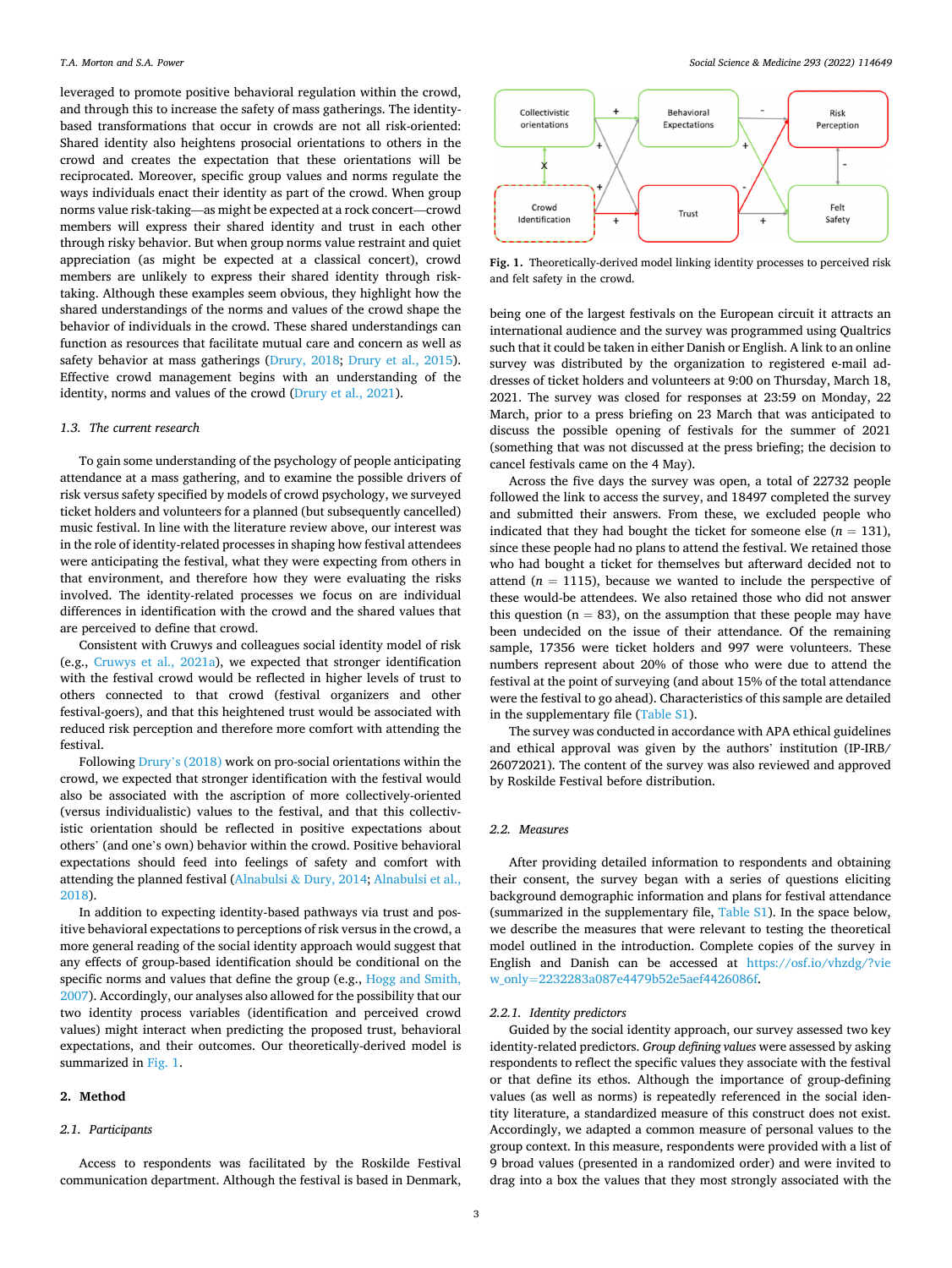<span id="page-2-0"></span>leveraged to promote positive behavioral regulation within the crowd, and through this to increase the safety of mass gatherings. The identitybased transformations that occur in crowds are not all risk-oriented: Shared identity also heightens prosocial orientations to others in the crowd and creates the expectation that these orientations will be reciprocated. Moreover, specific group values and norms regulate the ways individuals enact their identity as part of the crowd. When group norms value risk-taking—as might be expected at a rock concert—crowd members will express their shared identity and trust in each other through risky behavior. But when group norms value restraint and quiet appreciation (as might be expected at a classical concert), crowd members are unlikely to express their shared identity through risktaking. Although these examples seem obvious, they highlight how the shared understandings of the norms and values of the crowd shape the behavior of individuals in the crowd. These shared understandings can function as resources that facilitate mutual care and concern as well as safety behavior at mass gatherings ([Drury, 2018;](#page-7-0) [Drury et al., 2015](#page-7-0)). Effective crowd management begins with an understanding of the identity, norms and values of the crowd [\(Drury et al., 2021](#page-7-0)).

#### *1.3. The current research*

To gain some understanding of the psychology of people anticipating attendance at a mass gathering, and to examine the possible drivers of risk versus safety specified by models of crowd psychology, we surveyed ticket holders and volunteers for a planned (but subsequently cancelled) music festival. In line with the literature review above, our interest was in the role of identity-related processes in shaping how festival attendees were anticipating the festival, what they were expecting from others in that environment, and therefore how they were evaluating the risks involved. The identity-related processes we focus on are individual differences in identification with the crowd and the shared values that are perceived to define that crowd.

Consistent with Cruwys and colleagues social identity model of risk (e.g., [Cruwys et al., 2021a\)](#page-7-0), we expected that stronger identification with the festival crowd would be reflected in higher levels of trust to others connected to that crowd (festival organizers and other festival-goers), and that this heightened trust would be associated with reduced risk perception and therefore more comfort with attending the festival.

Following Drury'[s \(2018\)](#page-7-0) work on pro-social orientations within the crowd, we expected that stronger identification with the festival would also be associated with the ascription of more collectively-oriented (versus individualistic) values to the festival, and that this collectivistic orientation should be reflected in positive expectations about others' (and one's own) behavior within the crowd. Positive behavioral expectations should feed into feelings of safety and comfort with attending the planned festival (Alnabulsi & [Dury, 2014; Alnabulsi et al.,](#page-7-0)  [2018\)](#page-7-0).

In addition to expecting identity-based pathways via trust and positive behavioral expectations to perceptions of risk versus in the crowd, a more general reading of the social identity approach would suggest that any effects of group-based identification should be conditional on the specific norms and values that define the group (e.g., [Hogg and Smith,](#page-7-0)  [2007\)](#page-7-0). Accordingly, our analyses also allowed for the possibility that our two identity process variables (identification and perceived crowd values) might interact when predicting the proposed trust, behavioral expectations, and their outcomes. Our theoretically-derived model is summarized in Fig. 1.

#### **2. Method**

#### *2.1. Participants*

Access to respondents was facilitated by the Roskilde Festival communication department. Although the festival is based in Denmark,



**Fig. 1.** Theoretically-derived model linking identity processes to perceived risk and felt safety in the crowd.

being one of the largest festivals on the European circuit it attracts an international audience and the survey was programmed using Qualtrics such that it could be taken in either Danish or English. A link to an online survey was distributed by the organization to registered e-mail addresses of ticket holders and volunteers at 9:00 on Thursday, March 18, 2021. The survey was closed for responses at 23:59 on Monday, 22 March, prior to a press briefing on 23 March that was anticipated to discuss the possible opening of festivals for the summer of 2021 (something that was not discussed at the press briefing; the decision to cancel festivals came on the 4 May).

Across the five days the survey was open, a total of 22732 people followed the link to access the survey, and 18497 completed the survey and submitted their answers. From these, we excluded people who indicated that they had bought the ticket for someone else ( $n = 131$ ), since these people had no plans to attend the festival. We retained those who had bought a ticket for themselves but afterward decided not to attend  $(n = 1115)$ , because we wanted to include the perspective of these would-be attendees. We also retained those who did not answer this question ( $n = 83$ ), on the assumption that these people may have been undecided on the issue of their attendance. Of the remaining sample, 17356 were ticket holders and 997 were volunteers. These numbers represent about 20% of those who were due to attend the festival at the point of surveying (and about 15% of the total attendance were the festival to go ahead). Characteristics of this sample are detailed in the supplementary file (Table S1).

The survey was conducted in accordance with APA ethical guidelines and ethical approval was given by the authors' institution (IP-IRB/ 26072021). The content of the survey was also reviewed and approved by Roskilde Festival before distribution.

## *2.2. Measures*

After providing detailed information to respondents and obtaining their consent, the survey began with a series of questions eliciting background demographic information and plans for festival attendance (summarized in the supplementary file, Table S1). In the space below, we describe the measures that were relevant to testing the theoretical model outlined in the introduction. Complete copies of the survey in English and Danish can be accessed at [https://osf.io/vhzdg/?vie](https://osf.io/vhzdg/?view_only=2232283a087e4479b52e5aef4426086f)  w\_only=[2232283a087e4479b52e5aef4426086f](https://osf.io/vhzdg/?view_only=2232283a087e4479b52e5aef4426086f).

## *2.2.1. Identity predictors*

Guided by the social identity approach, our survey assessed two key identity-related predictors. *Group defining values* were assessed by asking respondents to reflect the specific values they associate with the festival or that define its ethos. Although the importance of group-defining values (as well as norms) is repeatedly referenced in the social identity literature, a standardized measure of this construct does not exist. Accordingly, we adapted a common measure of personal values to the group context. In this measure, respondents were provided with a list of 9 broad values (presented in a randomized order) and were invited to drag into a box the values that they most strongly associated with the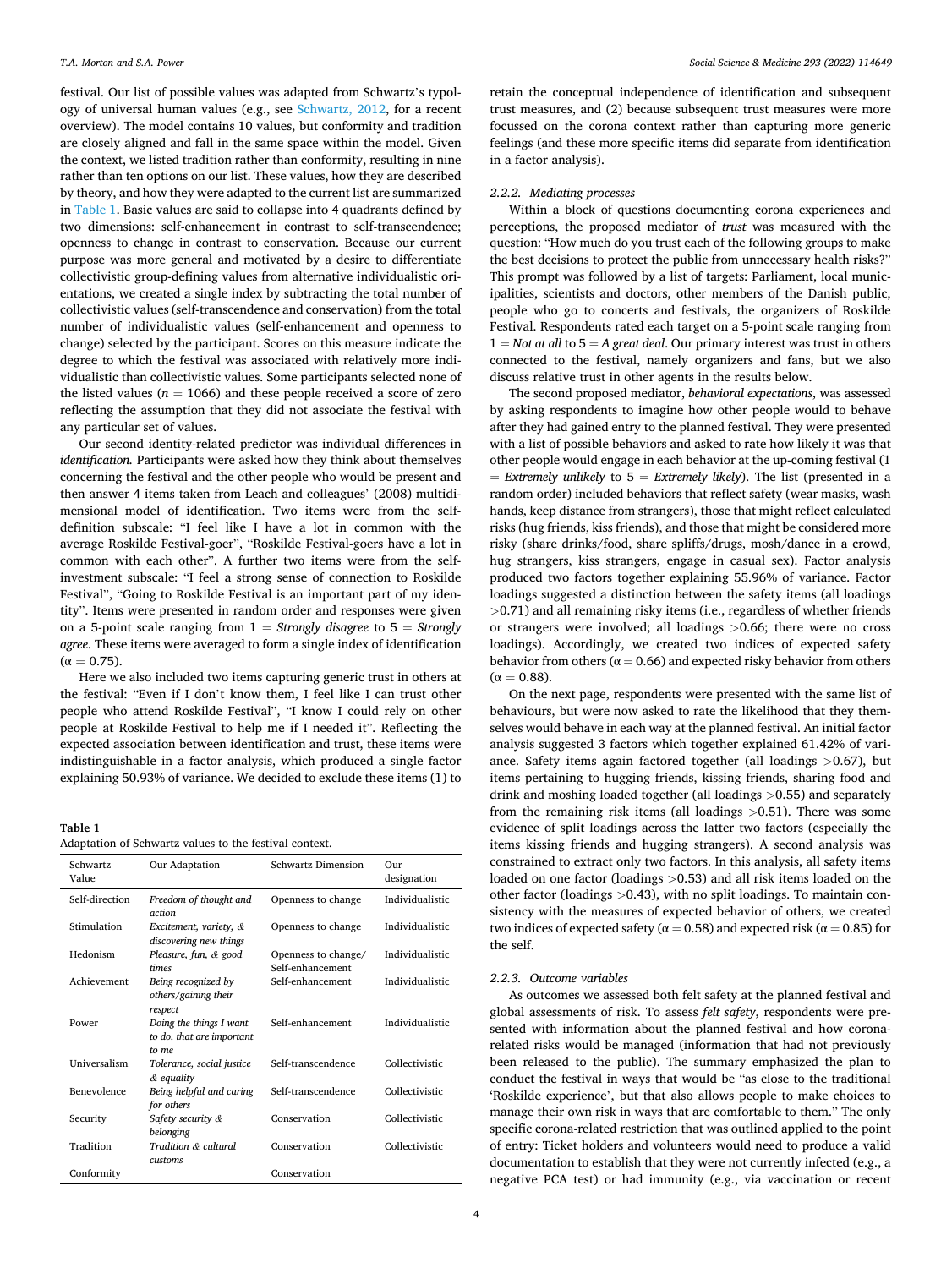festival. Our list of possible values was adapted from Schwartz's typology of universal human values (e.g., see [Schwartz, 2012](#page-8-0), for a recent overview). The model contains 10 values, but conformity and tradition are closely aligned and fall in the same space within the model. Given the context, we listed tradition rather than conformity, resulting in nine rather than ten options on our list. These values, how they are described by theory, and how they were adapted to the current list are summarized in Table 1. Basic values are said to collapse into 4 quadrants defined by two dimensions: self-enhancement in contrast to self-transcendence; openness to change in contrast to conservation. Because our current purpose was more general and motivated by a desire to differentiate collectivistic group-defining values from alternative individualistic orientations, we created a single index by subtracting the total number of collectivistic values (self-transcendence and conservation) from the total number of individualistic values (self-enhancement and openness to change) selected by the participant. Scores on this measure indicate the degree to which the festival was associated with relatively more individualistic than collectivistic values. Some participants selected none of the listed values ( $n = 1066$ ) and these people received a score of zero reflecting the assumption that they did not associate the festival with any particular set of values.

Our second identity-related predictor was individual differences in *identification.* Participants were asked how they think about themselves concerning the festival and the other people who would be present and then answer 4 items taken from Leach and colleagues' (2008) multidimensional model of identification. Two items were from the selfdefinition subscale: "I feel like I have a lot in common with the average Roskilde Festival-goer", "Roskilde Festival-goers have a lot in common with each other". A further two items were from the selfinvestment subscale: "I feel a strong sense of connection to Roskilde Festival", "Going to Roskilde Festival is an important part of my identity". Items were presented in random order and responses were given on a 5-point scale ranging from 1 = *Strongly disagree* to 5 = *Strongly agree*. These items were averaged to form a single index of identification  $(\alpha = 0.75)$ .

Here we also included two items capturing generic trust in others at the festival: "Even if I don't know them, I feel like I can trust other people who attend Roskilde Festival", "I know I could rely on other people at Roskilde Festival to help me if I needed it". Reflecting the expected association between identification and trust, these items were indistinguishable in a factor analysis, which produced a single factor explaining 50.93% of variance. We decided to exclude these items (1) to

#### **Table 1**

| Adaptation of Schwartz values to the festival context. |  |
|--------------------------------------------------------|--|
|--------------------------------------------------------|--|

| Schwartz<br>Value   | Our Adaptation                                                | <b>Schwartz Dimension</b>               | $_{\rm Our}$<br>designation |
|---------------------|---------------------------------------------------------------|-----------------------------------------|-----------------------------|
| Self-direction      | Freedom of thought and<br>action                              | Openness to change                      | Individualistic             |
| Stimulation         | Excitement, variety, &<br>discovering new things              | Openness to change                      | Individualistic             |
| Hedonism            | Pleasure, fun, & good<br>times                                | Openness to change/<br>Self-enhancement | Individualistic             |
| Achievement         | Being recognized by<br>others/gaining their<br>respect        | Self-enhancement                        | Individualistic             |
| Power               | Doing the things I want<br>to do, that are important<br>to me | Self-enhancement                        | Individualistic             |
| <b>Universalism</b> | Tolerance, social justice<br>& equality                       | Self-transcendence                      | Collectivistic              |
| Benevolence         | Being helpful and caring<br>for others                        | Self-transcendence                      | Collectivistic              |
| Security            | Safety security &<br>belonging                                | Conservation                            | Collectivistic              |
| Tradition           | Tradition & cultural<br><i>customs</i>                        | Conservation                            | Collectivistic              |
| Conformity          |                                                               | Conservation                            |                             |

retain the conceptual independence of identification and subsequent trust measures, and (2) because subsequent trust measures were more focussed on the corona context rather than capturing more generic feelings (and these more specific items did separate from identification in a factor analysis).

#### *2.2.2. Mediating processes*

Within a block of questions documenting corona experiences and perceptions, the proposed mediator of *trust* was measured with the question: "How much do you trust each of the following groups to make the best decisions to protect the public from unnecessary health risks?" This prompt was followed by a list of targets: Parliament, local municipalities, scientists and doctors, other members of the Danish public, people who go to concerts and festivals, the organizers of Roskilde Festival. Respondents rated each target on a 5-point scale ranging from  $1 = Not$  *at all to*  $5 = A$  *great deal.* Our primary interest was trust in others connected to the festival, namely organizers and fans, but we also discuss relative trust in other agents in the results below.

The second proposed mediator, *behavioral expectations*, was assessed by asking respondents to imagine how other people would to behave after they had gained entry to the planned festival. They were presented with a list of possible behaviors and asked to rate how likely it was that other people would engage in each behavior at the up-coming festival (1 = *Extremely unlikely* to 5 = *Extremely likely*). The list (presented in a random order) included behaviors that reflect safety (wear masks, wash hands, keep distance from strangers), those that might reflect calculated risks (hug friends, kiss friends), and those that might be considered more risky (share drinks/food, share spliffs/drugs, mosh/dance in a crowd, hug strangers, kiss strangers, engage in casual sex). Factor analysis produced two factors together explaining 55.96% of variance. Factor loadings suggested a distinction between the safety items (all loadings *>*0.71) and all remaining risky items (i.e., regardless of whether friends or strangers were involved; all loadings *>*0.66; there were no cross loadings). Accordingly, we created two indices of expected safety behavior from others ( $\alpha$  = 0.66) and expected risky behavior from others  $(\alpha = 0.88)$ .

On the next page, respondents were presented with the same list of behaviours, but were now asked to rate the likelihood that they themselves would behave in each way at the planned festival. An initial factor analysis suggested 3 factors which together explained 61.42% of variance. Safety items again factored together (all loadings *>*0.67), but items pertaining to hugging friends, kissing friends, sharing food and drink and moshing loaded together (all loadings *>*0.55) and separately from the remaining risk items (all loadings *>*0.51). There was some evidence of split loadings across the latter two factors (especially the items kissing friends and hugging strangers). A second analysis was constrained to extract only two factors. In this analysis, all safety items loaded on one factor (loadings *>*0.53) and all risk items loaded on the other factor (loadings *>*0.43), with no split loadings. To maintain consistency with the measures of expected behavior of others, we created two indices of expected safety ( $\alpha = 0.58$ ) and expected risk ( $\alpha = 0.85$ ) for the self.

#### *2.2.3. Outcome variables*

As outcomes we assessed both felt safety at the planned festival and global assessments of risk. To assess *felt safety*, respondents were presented with information about the planned festival and how coronarelated risks would be managed (information that had not previously been released to the public). The summary emphasized the plan to conduct the festival in ways that would be "as close to the traditional 'Roskilde experience', but that also allows people to make choices to manage their own risk in ways that are comfortable to them." The only specific corona-related restriction that was outlined applied to the point of entry: Ticket holders and volunteers would need to produce a valid documentation to establish that they were not currently infected (e.g., a negative PCA test) or had immunity (e.g., via vaccination or recent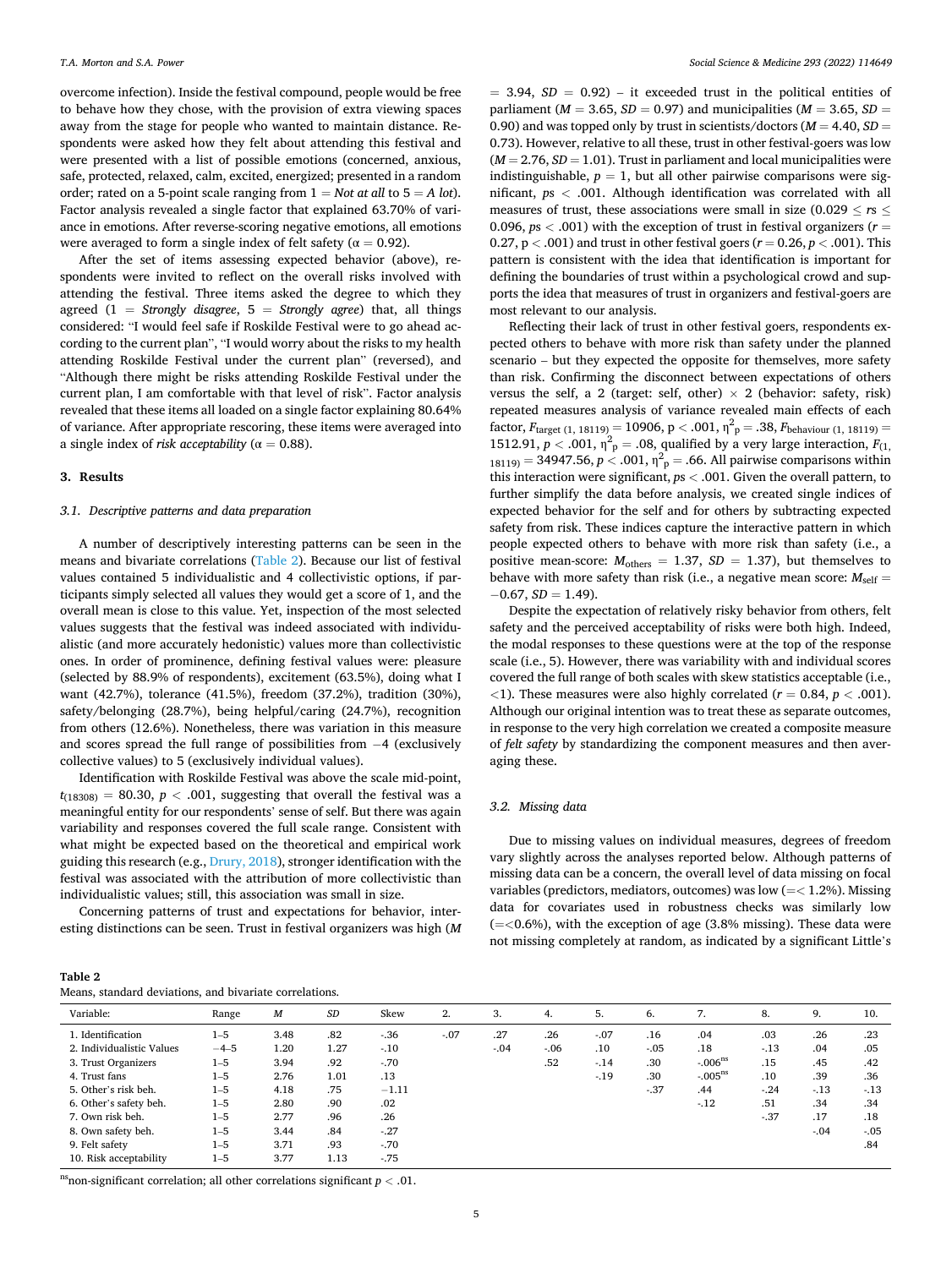overcome infection). Inside the festival compound, people would be free to behave how they chose, with the provision of extra viewing spaces away from the stage for people who wanted to maintain distance. Respondents were asked how they felt about attending this festival and were presented with a list of possible emotions (concerned, anxious, safe, protected, relaxed, calm, excited, energized; presented in a random order; rated on a 5-point scale ranging from 1 = *Not at all* to 5 = *A lot*). Factor analysis revealed a single factor that explained 63.70% of variance in emotions. After reverse-scoring negative emotions, all emotions were averaged to form a single index of felt safety ( $\alpha = 0.92$ ).

After the set of items assessing expected behavior (above), respondents were invited to reflect on the overall risks involved with attending the festival. Three items asked the degree to which they agreed (1 = *Strongly disagree*, 5 = *Strongly agree*) that, all things considered: "I would feel safe if Roskilde Festival were to go ahead according to the current plan", "I would worry about the risks to my health attending Roskilde Festival under the current plan" (reversed), and "Although there might be risks attending Roskilde Festival under the current plan, I am comfortable with that level of risk". Factor analysis revealed that these items all loaded on a single factor explaining 80.64% of variance. After appropriate rescoring, these items were averaged into a single index of *risk acceptability* ( $\alpha = 0.88$ ).

#### **3. Results**

## *3.1. Descriptive patterns and data preparation*

A number of descriptively interesting patterns can be seen in the means and bivariate correlations (Table 2). Because our list of festival values contained 5 individualistic and 4 collectivistic options, if participants simply selected all values they would get a score of 1, and the overall mean is close to this value. Yet, inspection of the most selected values suggests that the festival was indeed associated with individualistic (and more accurately hedonistic) values more than collectivistic ones. In order of prominence, defining festival values were: pleasure (selected by 88.9% of respondents), excitement (63.5%), doing what I want (42.7%), tolerance (41.5%), freedom (37.2%), tradition (30%), safety/belonging (28.7%), being helpful/caring (24.7%), recognition from others (12.6%). Nonetheless, there was variation in this measure and scores spread the full range of possibilities from −4 (exclusively collective values) to 5 (exclusively individual values).

Identification with Roskilde Festival was above the scale mid-point,  $t_{(18308)} = 80.30, p < .001$ , suggesting that overall the festival was a meaningful entity for our respondents' sense of self. But there was again variability and responses covered the full scale range. Consistent with what might be expected based on the theoretical and empirical work guiding this research (e.g., [Drury, 2018](#page-7-0)), stronger identification with the festival was associated with the attribution of more collectivistic than individualistic values; still, this association was small in size.

Concerning patterns of trust and expectations for behavior, interesting distinctions can be seen. Trust in festival organizers was high (*M* 

| Table 2                                                 |  |
|---------------------------------------------------------|--|
| Means, standard deviations, and bivariate correlations. |  |

 $= 3.94, SD = 0.92$ ) – it exceeded trust in the political entities of parliament ( $M = 3.65$ ,  $SD = 0.97$ ) and municipalities ( $M = 3.65$ ,  $SD =$ 0.90) and was topped only by trust in scientists/doctors ( $M = 4.40$ ,  $SD =$ 0.73). However, relative to all these, trust in other festival-goers was low  $(M = 2.76, SD = 1.01)$ . Trust in parliament and local municipalities were indistinguishable,  $p = 1$ , but all other pairwise comparisons were significant, *p*s *<* .001. Although identification was correlated with all measures of trust, these associations were small in size (0.029 ≤ *r*s ≤ 0.096, *p*s *<* .001) with the exception of trust in festival organizers (*r* = 0.27,  $p < .001$ ) and trust in other festival goers ( $r = 0.26$ ,  $p < .001$ ). This pattern is consistent with the idea that identification is important for defining the boundaries of trust within a psychological crowd and supports the idea that measures of trust in organizers and festival-goers are most relevant to our analysis.

Reflecting their lack of trust in other festival goers, respondents expected others to behave with more risk than safety under the planned scenario – but they expected the opposite for themselves, more safety than risk. Confirming the disconnect between expectations of others versus the self, a 2 (target: self, other)  $\times$  2 (behavior: safety, risk) repeated measures analysis of variance revealed main effects of each factor,  $F_{\text{target (1, 18119)}} = 10906, p < .001, \eta^2_{p} = .38, F_{\text{behavior (1, 18119)}} =$ 1512.91,  $p < .001$ ,  $\eta^2$ <sub>p</sub> = .08, qualified by a very large interaction,  $F_{(1)}$  $_{18119)} = 34947.56, p < .001, \eta_{p}^{2} = .66$ . All pairwise comparisons within this interaction were significant, *p*s *<* .001. Given the overall pattern, to further simplify the data before analysis, we created single indices of expected behavior for the self and for others by subtracting expected safety from risk. These indices capture the interactive pattern in which people expected others to behave with more risk than safety (i.e., a positive mean-score:  $M_{\text{others}} = 1.37$ ,  $SD = 1.37$ ), but themselves to behave with more safety than risk (i.e., a negative mean score:  $M_{\text{self}} =$  $-0.67, SD = 1.49$ ).

Despite the expectation of relatively risky behavior from others, felt safety and the perceived acceptability of risks were both high. Indeed, the modal responses to these questions were at the top of the response scale (i.e., 5). However, there was variability with and individual scores covered the full range of both scales with skew statistics acceptable (i.e., *<*1). These measures were also highly correlated (*r* = 0.84, *p <* .001). Although our original intention was to treat these as separate outcomes, in response to the very high correlation we created a composite measure of *felt safety* by standardizing the component measures and then averaging these.

## *3.2. Missing data*

Due to missing values on individual measures, degrees of freedom vary slightly across the analyses reported below. Although patterns of missing data can be a concern, the overall level of data missing on focal variables (predictors, mediators, outcomes) was low (=*<* 1.2%). Missing data for covariates used in robustness checks was similarly low (=*<*0.6%), with the exception of age (3.8% missing). These data were not missing completely at random, as indicated by a significant Little's

| Variable:                 | Range   | M    | <b>SD</b> | Skew    | 2.    | 3.     | 4.      | 5.     | 6.      | 7.                    | 8.    | 9.     | 10.     |
|---------------------------|---------|------|-----------|---------|-------|--------|---------|--------|---------|-----------------------|-------|--------|---------|
| 1. Identification         | $1 - 5$ | 3.48 | .82       | $-.36$  | $-07$ | .27    | .26     | $-.07$ | .16     | .04                   | .03   | .26    | .23     |
| 2. Individualistic Values | $-4-5$  | 1.20 | 1.27      | $-.10$  |       | $-.04$ | $-0.06$ | .10    | $-0.05$ | .18                   | $-13$ | .04    | .05     |
| 3. Trust Organizers       | $1 - 5$ | 3.94 | .92       | $-70$   |       |        | .52     | $-14$  | .30     | $-.006^{\text{ns}}$   | .15   | .45    | .42     |
| 4. Trust fans             | $1 - 5$ | 2.76 | 1.01      | .13     |       |        |         | $-19$  | .30     | $-0.05$ <sup>ns</sup> | .10   | .39    | .36     |
| 5. Other's risk beh.      | $1 - 5$ | 4.18 | .75       | $-1.11$ |       |        |         |        | $-37$   | .44                   | $-24$ | $-13$  | $-13$   |
| 6. Other's safety beh.    | $1 - 5$ | 2.80 | .90       | .02     |       |        |         |        |         | $-12$                 | .51   | .34    | .34     |
| 7. Own risk beh.          | $1 - 5$ | 2.77 | .96       | .26     |       |        |         |        |         |                       | $-37$ | .17    | .18     |
| 8. Own safety beh.        | $1 - 5$ | 3.44 | .84       | $-.27$  |       |        |         |        |         |                       |       | $-.04$ | $-0.05$ |
| 9. Felt safety            | $1 - 5$ | 3.71 | .93       | $-70$   |       |        |         |        |         |                       |       |        | .84     |
| 10. Risk acceptability    | $1 - 5$ | 3.77 | 1.13      | $-75$   |       |        |         |        |         |                       |       |        |         |

nsnon-significant correlation; all other correlations significant  $p < .01$ .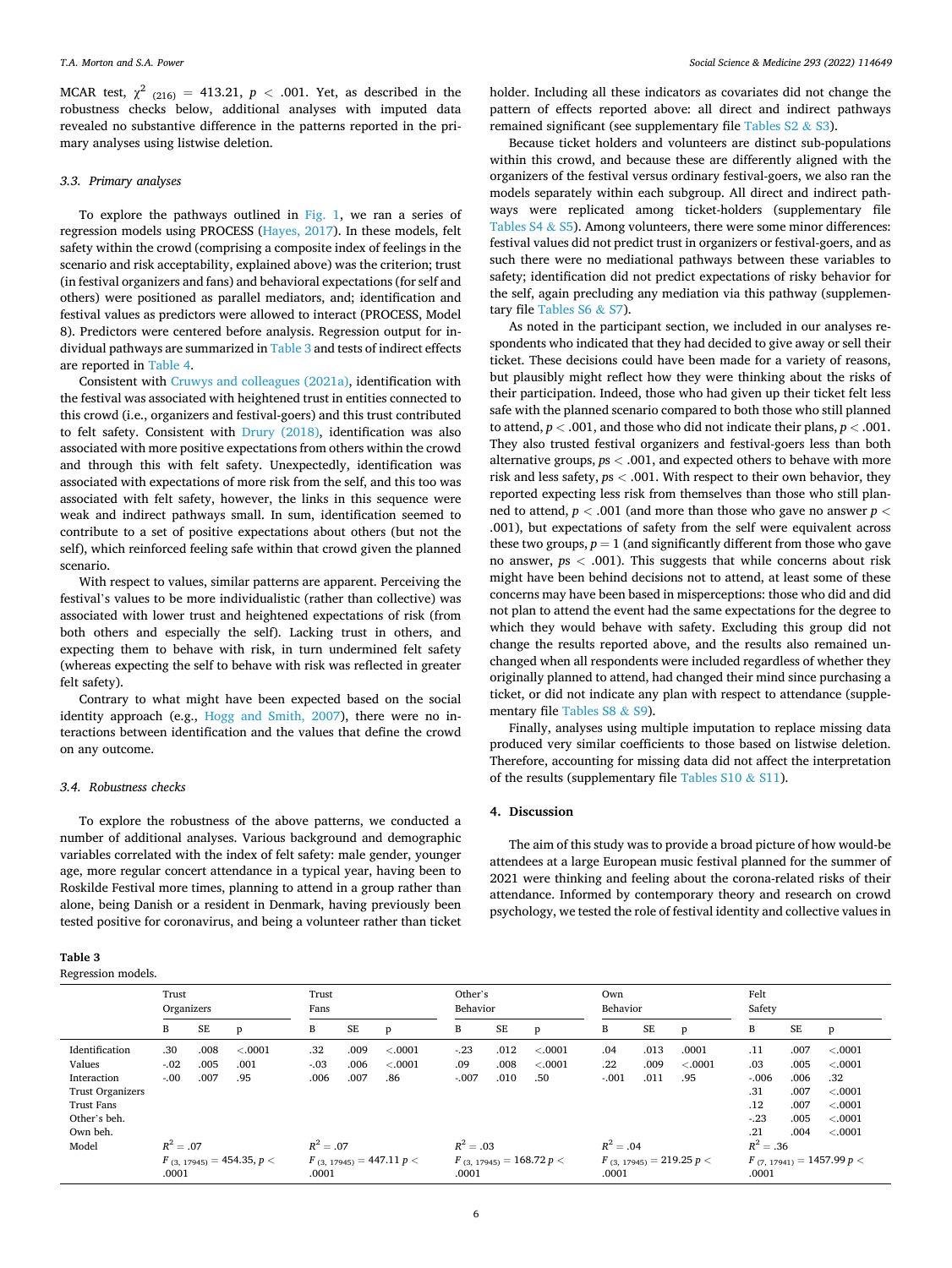MCAR test,  $\chi^2$  (216) = 413.21,  $p < .001$ . Yet, as described in the robustness checks below, additional analyses with imputed data revealed no substantive difference in the patterns reported in the primary analyses using listwise deletion.

## *3.3. Primary analyses*

To explore the pathways outlined in [Fig. 1,](#page-2-0) we ran a series of regression models using PROCESS [\(Hayes, 2017\)](#page-7-0). In these models, felt safety within the crowd (comprising a composite index of feelings in the scenario and risk acceptability, explained above) was the criterion; trust (in festival organizers and fans) and behavioral expectations (for self and others) were positioned as parallel mediators, and; identification and festival values as predictors were allowed to interact (PROCESS, Model 8). Predictors were centered before analysis. Regression output for individual pathways are summarized in Table 3 and tests of indirect effects are reported in [Table 4](#page-6-0).

Consistent with [Cruwys and colleagues \(2021a\)](#page-7-0), identification with the festival was associated with heightened trust in entities connected to this crowd (i.e., organizers and festival-goers) and this trust contributed to felt safety. Consistent with [Drury \(2018\),](#page-7-0) identification was also associated with more positive expectations from others within the crowd and through this with felt safety. Unexpectedly, identification was associated with expectations of more risk from the self, and this too was associated with felt safety, however, the links in this sequence were weak and indirect pathways small. In sum, identification seemed to contribute to a set of positive expectations about others (but not the self), which reinforced feeling safe within that crowd given the planned scenario.

With respect to values, similar patterns are apparent. Perceiving the festival's values to be more individualistic (rather than collective) was associated with lower trust and heightened expectations of risk (from both others and especially the self). Lacking trust in others, and expecting them to behave with risk, in turn undermined felt safety (whereas expecting the self to behave with risk was reflected in greater felt safety).

Contrary to what might have been expected based on the social identity approach (e.g., [Hogg and Smith, 2007](#page-7-0)), there were no interactions between identification and the values that define the crowd on any outcome.

## *3.4. Robustness checks*

To explore the robustness of the above patterns, we conducted a number of additional analyses. Various background and demographic variables correlated with the index of felt safety: male gender, younger age, more regular concert attendance in a typical year, having been to Roskilde Festival more times, planning to attend in a group rather than alone, being Danish or a resident in Denmark, having previously been tested positive for coronavirus, and being a volunteer rather than ticket

#### **Table 3**

Regression models.

holder. Including all these indicators as covariates did not change the pattern of effects reported above: all direct and indirect pathways remained significant (see supplementary file Tables S2 & S3).

Because ticket holders and volunteers are distinct sub-populations within this crowd, and because these are differently aligned with the organizers of the festival versus ordinary festival-goers, we also ran the models separately within each subgroup. All direct and indirect pathways were replicated among ticket-holders (supplementary file Tables  $S4 \& S5$ ). Among volunteers, there were some minor differences: festival values did not predict trust in organizers or festival-goers, and as such there were no mediational pathways between these variables to safety; identification did not predict expectations of risky behavior for the self, again precluding any mediation via this pathway (supplementary file Tables S6 & S7).

As noted in the participant section, we included in our analyses respondents who indicated that they had decided to give away or sell their ticket. These decisions could have been made for a variety of reasons, but plausibly might reflect how they were thinking about the risks of their participation. Indeed, those who had given up their ticket felt less safe with the planned scenario compared to both those who still planned to attend,  $p < .001$ , and those who did not indicate their plans,  $p < .001$ . They also trusted festival organizers and festival-goers less than both alternative groups, *p*s *<* .001, and expected others to behave with more risk and less safety, *p*s *<* .001. With respect to their own behavior, they reported expecting less risk from themselves than those who still planned to attend, *p <* .001 (and more than those who gave no answer *p <* .001), but expectations of safety from the self were equivalent across these two groups,  $p = 1$  (and significantly different from those who gave no answer, *p*s *<* .001). This suggests that while concerns about risk might have been behind decisions not to attend, at least some of these concerns may have been based in misperceptions: those who did and did not plan to attend the event had the same expectations for the degree to which they would behave with safety. Excluding this group did not change the results reported above, and the results also remained unchanged when all respondents were included regardless of whether they originally planned to attend, had changed their mind since purchasing a ticket, or did not indicate any plan with respect to attendance (supplementary file Tables S8 & S9).

Finally, analyses using multiple imputation to replace missing data produced very similar coefficients to those based on listwise deletion. Therefore, accounting for missing data did not affect the interpretation of the results (supplementary file Tables  $$10 \& $11$ ).

## **4. Discussion**

The aim of this study was to provide a broad picture of how would-be attendees at a large European music festival planned for the summer of 2021 were thinking and feeling about the corona-related risks of their attendance. Informed by contemporary theory and research on crowd psychology, we tested the role of festival identity and collective values in

|                                                                                                              | Trust<br>Organizers     |                      | Trust<br>Fans                  |                       | Other's<br>Behavior  |                               |                          | Own<br>Behavior      |                               |                           | Felt<br>Safety       |                               |                                                      |                                                      |                                                                            |
|--------------------------------------------------------------------------------------------------------------|-------------------------|----------------------|--------------------------------|-----------------------|----------------------|-------------------------------|--------------------------|----------------------|-------------------------------|---------------------------|----------------------|-------------------------------|------------------------------------------------------|------------------------------------------------------|----------------------------------------------------------------------------|
|                                                                                                              | B                       | <b>SE</b>            | p                              | B                     | SE                   | p                             | B                        | SE                   | p                             | B                         | <b>SE</b>            | p                             | В                                                    | SE                                                   | p                                                                          |
| Identification<br>Values<br>Interaction<br>Trust Organizers<br><b>Trust Fans</b><br>Other's beh.<br>Own beh. | .30<br>$-.02$<br>$-.00$ | .008<br>.005<br>.007 | < .0001<br>.001<br>.95         | .32<br>$-.03$<br>.006 | .009<br>.006<br>.007 | < 0.0001<br>< .0001<br>.86    | $-.23$<br>.09<br>$-.007$ | .012<br>.008<br>.010 | < .0001<br>< .0001<br>.50     | .04<br>$.22\,$<br>$-.001$ | .013<br>.009<br>.011 | .0001<br>< .0001<br>.95       | .11<br>.03<br>$-.006$<br>.31<br>.12<br>$-.23$<br>.21 | .007<br>.005<br>.006<br>.007<br>.007<br>.005<br>.004 | < 0.0001<br>< 0.0001<br>.32<br>< 0.0001<br>< 0.0001<br>< .0001<br>< 0.0001 |
| Model                                                                                                        | $R^2 = .07$<br>.0001    |                      | $F_{(3, 17945)} = 454.35, p <$ | $R^2 = .07$<br>.0001  |                      | $F_{(3, 17945)} = 447.11 p <$ | $R^2 = .03$<br>.0001     |                      | $F_{(3, 17945)} = 168.72 p <$ | $R^2 = .04$<br>.0001      |                      | $F_{(3, 17945)} = 219.25 p <$ | $R^2 = .36$<br>.0001                                 |                                                      | $F_{(7, 17941)} = 1457.99 p <$                                             |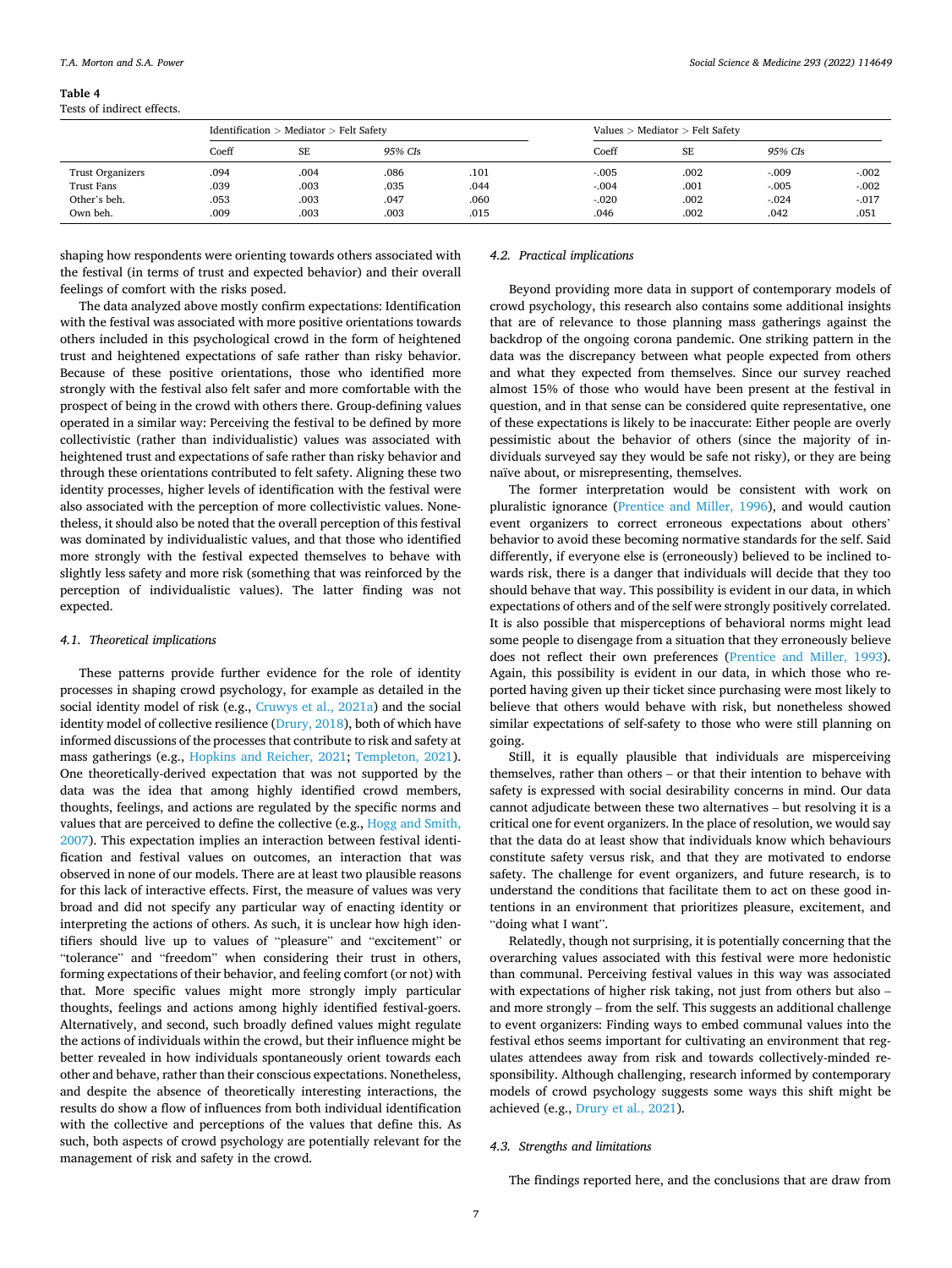#### <span id="page-6-0"></span>**Table 4**

Tests of indirect effects.

|                   |       | Identification $>$ Mediator $>$ Felt Safety |         |      | Values $>$ Mediator $>$ Felt Safety |      |         |          |  |
|-------------------|-------|---------------------------------------------|---------|------|-------------------------------------|------|---------|----------|--|
|                   | Coeff | <b>SE</b>                                   | 95% CIs |      | Coeff                               | SE   | 95% CIs |          |  |
| Trust Organizers  | .094  | .004                                        | .086    | .101 | $-.005$                             | .002 | $-.009$ | $-.002$  |  |
| <b>Trust Fans</b> | .039  | .003                                        | .035    | .044 | $-.004$                             | .001 | $-.005$ | $-.002$  |  |
| Other's beh.      | .053  | .003                                        | .047    | .060 | $-0.020$                            | .002 | $-.024$ | $-0.017$ |  |
| Own beh.          | .009  | .003                                        | .003    | .015 | .046                                | .002 | .042    | .051     |  |

shaping how respondents were orienting towards others associated with the festival (in terms of trust and expected behavior) and their overall feelings of comfort with the risks posed.

The data analyzed above mostly confirm expectations: Identification with the festival was associated with more positive orientations towards others included in this psychological crowd in the form of heightened trust and heightened expectations of safe rather than risky behavior. Because of these positive orientations, those who identified more strongly with the festival also felt safer and more comfortable with the prospect of being in the crowd with others there. Group-defining values operated in a similar way: Perceiving the festival to be defined by more collectivistic (rather than individualistic) values was associated with heightened trust and expectations of safe rather than risky behavior and through these orientations contributed to felt safety. Aligning these two identity processes, higher levels of identification with the festival were also associated with the perception of more collectivistic values. Nonetheless, it should also be noted that the overall perception of this festival was dominated by individualistic values, and that those who identified more strongly with the festival expected themselves to behave with slightly less safety and more risk (something that was reinforced by the perception of individualistic values). The latter finding was not expected.

## *4.1. Theoretical implications*

These patterns provide further evidence for the role of identity processes in shaping crowd psychology, for example as detailed in the social identity model of risk (e.g., [Cruwys et al., 2021a\)](#page-7-0) and the social identity model of collective resilience ([Drury, 2018](#page-7-0)), both of which have informed discussions of the processes that contribute to risk and safety at mass gatherings (e.g., [Hopkins and Reicher, 2021](#page-7-0); [Templeton, 2021](#page-8-0)). One theoretically-derived expectation that was not supported by the data was the idea that among highly identified crowd members, thoughts, feelings, and actions are regulated by the specific norms and values that are perceived to define the collective (e.g., [Hogg and Smith,](#page-7-0)  [2007\)](#page-7-0). This expectation implies an interaction between festival identification and festival values on outcomes, an interaction that was observed in none of our models. There are at least two plausible reasons for this lack of interactive effects. First, the measure of values was very broad and did not specify any particular way of enacting identity or interpreting the actions of others. As such, it is unclear how high identifiers should live up to values of "pleasure" and "excitement" or "tolerance" and "freedom" when considering their trust in others, forming expectations of their behavior, and feeling comfort (or not) with that. More specific values might more strongly imply particular thoughts, feelings and actions among highly identified festival-goers. Alternatively, and second, such broadly defined values might regulate the actions of individuals within the crowd, but their influence might be better revealed in how individuals spontaneously orient towards each other and behave, rather than their conscious expectations. Nonetheless, and despite the absence of theoretically interesting interactions, the results do show a flow of influences from both individual identification with the collective and perceptions of the values that define this. As such, both aspects of crowd psychology are potentially relevant for the management of risk and safety in the crowd.

#### *4.2. Practical implications*

Beyond providing more data in support of contemporary models of crowd psychology, this research also contains some additional insights that are of relevance to those planning mass gatherings against the backdrop of the ongoing corona pandemic. One striking pattern in the data was the discrepancy between what people expected from others and what they expected from themselves. Since our survey reached almost 15% of those who would have been present at the festival in question, and in that sense can be considered quite representative, one of these expectations is likely to be inaccurate: Either people are overly pessimistic about the behavior of others (since the majority of individuals surveyed say they would be safe not risky), or they are being naïve about, or misrepresenting, themselves.

The former interpretation would be consistent with work on pluralistic ignorance ([Prentice and Miller, 1996\)](#page-8-0), and would caution event organizers to correct erroneous expectations about others' behavior to avoid these becoming normative standards for the self. Said differently, if everyone else is (erroneously) believed to be inclined towards risk, there is a danger that individuals will decide that they too should behave that way. This possibility is evident in our data, in which expectations of others and of the self were strongly positively correlated. It is also possible that misperceptions of behavioral norms might lead some people to disengage from a situation that they erroneously believe does not reflect their own preferences ([Prentice and Miller, 1993](#page-8-0)). Again, this possibility is evident in our data, in which those who reported having given up their ticket since purchasing were most likely to believe that others would behave with risk, but nonetheless showed similar expectations of self-safety to those who were still planning on going.

Still, it is equally plausible that individuals are misperceiving themselves, rather than others – or that their intention to behave with safety is expressed with social desirability concerns in mind. Our data cannot adjudicate between these two alternatives – but resolving it is a critical one for event organizers. In the place of resolution, we would say that the data do at least show that individuals know which behaviours constitute safety versus risk, and that they are motivated to endorse safety. The challenge for event organizers, and future research, is to understand the conditions that facilitate them to act on these good intentions in an environment that prioritizes pleasure, excitement, and "doing what I want".

Relatedly, though not surprising, it is potentially concerning that the overarching values associated with this festival were more hedonistic than communal. Perceiving festival values in this way was associated with expectations of higher risk taking, not just from others but also – and more strongly – from the self. This suggests an additional challenge to event organizers: Finding ways to embed communal values into the festival ethos seems important for cultivating an environment that regulates attendees away from risk and towards collectively-minded responsibility. Although challenging, research informed by contemporary models of crowd psychology suggests some ways this shift might be achieved (e.g., [Drury et al., 2021\)](#page-7-0).

## *4.3. Strengths and limitations*

The findings reported here, and the conclusions that are draw from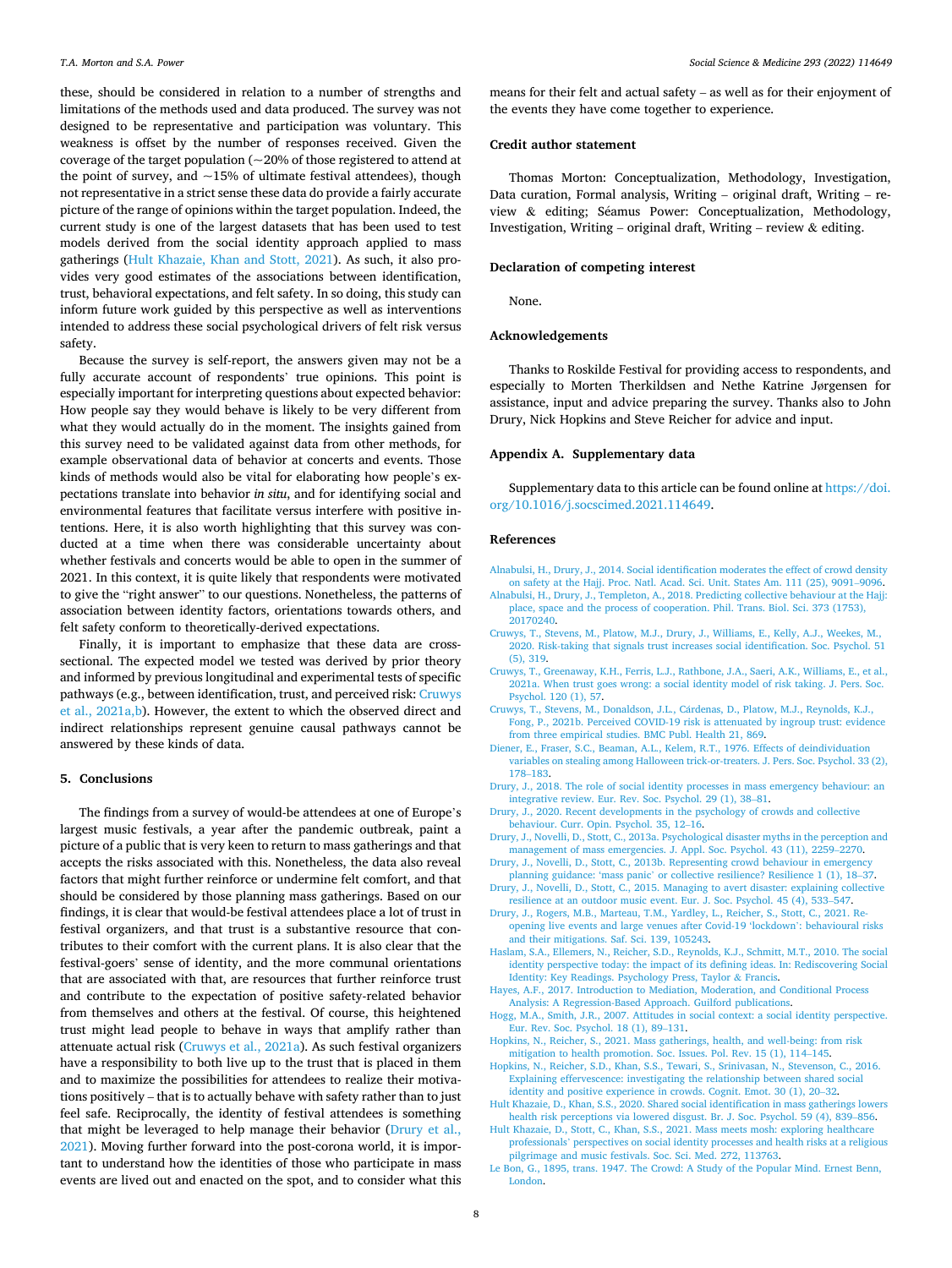<span id="page-7-0"></span>these, should be considered in relation to a number of strengths and limitations of the methods used and data produced. The survey was not designed to be representative and participation was voluntary. This weakness is offset by the number of responses received. Given the coverage of the target population (~20% of those registered to attend at the point of survey, and  $~15\%$  of ultimate festival attendees), though not representative in a strict sense these data do provide a fairly accurate picture of the range of opinions within the target population. Indeed, the current study is one of the largest datasets that has been used to test models derived from the social identity approach applied to mass gatherings (Hult Khazaie, Khan and Stott, 2021). As such, it also provides very good estimates of the associations between identification, trust, behavioral expectations, and felt safety. In so doing, this study can inform future work guided by this perspective as well as interventions intended to address these social psychological drivers of felt risk versus safety.

Because the survey is self-report, the answers given may not be a fully accurate account of respondents' true opinions. This point is especially important for interpreting questions about expected behavior: How people say they would behave is likely to be very different from what they would actually do in the moment. The insights gained from this survey need to be validated against data from other methods, for example observational data of behavior at concerts and events. Those kinds of methods would also be vital for elaborating how people's expectations translate into behavior *in situ*, and for identifying social and environmental features that facilitate versus interfere with positive intentions. Here, it is also worth highlighting that this survey was conducted at a time when there was considerable uncertainty about whether festivals and concerts would be able to open in the summer of 2021. In this context, it is quite likely that respondents were motivated to give the "right answer" to our questions. Nonetheless, the patterns of association between identity factors, orientations towards others, and felt safety conform to theoretically-derived expectations.

Finally, it is important to emphasize that these data are crosssectional. The expected model we tested was derived by prior theory and informed by previous longitudinal and experimental tests of specific pathways (e.g., between identification, trust, and perceived risk: Cruwys et al., 2021a,b). However, the extent to which the observed direct and indirect relationships represent genuine causal pathways cannot be answered by these kinds of data.

#### **5. Conclusions**

The findings from a survey of would-be attendees at one of Europe's largest music festivals, a year after the pandemic outbreak, paint a picture of a public that is very keen to return to mass gatherings and that accepts the risks associated with this. Nonetheless, the data also reveal factors that might further reinforce or undermine felt comfort, and that should be considered by those planning mass gatherings. Based on our findings, it is clear that would-be festival attendees place a lot of trust in festival organizers, and that trust is a substantive resource that contributes to their comfort with the current plans. It is also clear that the festival-goers' sense of identity, and the more communal orientations that are associated with that, are resources that further reinforce trust and contribute to the expectation of positive safety-related behavior from themselves and others at the festival. Of course, this heightened trust might lead people to behave in ways that amplify rather than attenuate actual risk (Cruwys et al., 2021a). As such festival organizers have a responsibility to both live up to the trust that is placed in them and to maximize the possibilities for attendees to realize their motivations positively – that is to actually behave with safety rather than to just feel safe. Reciprocally, the identity of festival attendees is something that might be leveraged to help manage their behavior (Drury et al., 2021). Moving further forward into the post-corona world, it is important to understand how the identities of those who participate in mass events are lived out and enacted on the spot, and to consider what this means for their felt and actual safety – as well as for their enjoyment of the events they have come together to experience.

## **Credit author statement**

Thomas Morton: Conceptualization, Methodology, Investigation, Data curation, Formal analysis, Writing – original draft, Writing – review & editing; Séamus Power: Conceptualization, Methodology, Investigation, Writing – original draft, Writing – review  $\&$  editing.

#### **Declaration of competing interest**

None.

#### **Acknowledgements**

Thanks to Roskilde Festival for providing access to respondents, and especially to Morten Therkildsen and Nethe Katrine Jørgensen for assistance, input and advice preparing the survey. Thanks also to John Drury, Nick Hopkins and Steve Reicher for advice and input.

#### **Appendix A. Supplementary data**

Supplementary data to this article can be found online at [https://doi.](https://doi.org/10.1016/j.socscimed.2021.114649)  [org/10.1016/j.socscimed.2021.114649.](https://doi.org/10.1016/j.socscimed.2021.114649)

#### **References**

- [Alnabulsi, H., Drury, J., 2014. Social identification moderates the effect of crowd density](http://refhub.elsevier.com/S0277-9536(21)00981-3/sref1)  [on safety at the Hajj. Proc. Natl. Acad. Sci. Unit. States Am. 111 \(25\), 9091](http://refhub.elsevier.com/S0277-9536(21)00981-3/sref1)–9096.
- [Alnabulsi, H., Drury, J., Templeton, A., 2018. Predicting collective behaviour at the Hajj:](http://refhub.elsevier.com/S0277-9536(21)00981-3/sref2)  [place, space and the process of cooperation. Phil. Trans. Biol. Sci. 373 \(1753\),](http://refhub.elsevier.com/S0277-9536(21)00981-3/sref2) [20170240](http://refhub.elsevier.com/S0277-9536(21)00981-3/sref2).
- [Cruwys, T., Stevens, M., Platow, M.J., Drury, J., Williams, E., Kelly, A.J., Weekes, M.,](http://refhub.elsevier.com/S0277-9536(21)00981-3/sref3)  [2020. Risk-taking that signals trust increases social identification. Soc. Psychol. 51](http://refhub.elsevier.com/S0277-9536(21)00981-3/sref3) [\(5\), 319.](http://refhub.elsevier.com/S0277-9536(21)00981-3/sref3)
- [Cruwys, T., Greenaway, K.H., Ferris, L.J., Rathbone, J.A., Saeri, A.K., Williams, E., et al.,](http://refhub.elsevier.com/S0277-9536(21)00981-3/sref4)  [2021a. When trust goes wrong: a social identity model of risk taking. J. Pers. Soc.](http://refhub.elsevier.com/S0277-9536(21)00981-3/sref4) [Psychol. 120 \(1\), 57](http://refhub.elsevier.com/S0277-9536(21)00981-3/sref4).
- Cruwys, T., Stevens, M., Donaldson, J.L., Cárdenas, D., Platow, M.J., Reynolds, K.J., [Fong, P., 2021b. Perceived COVID-19 risk is attenuated by ingroup trust: evidence](http://refhub.elsevier.com/S0277-9536(21)00981-3/sref5) [from three empirical studies. BMC Publ. Health 21, 869](http://refhub.elsevier.com/S0277-9536(21)00981-3/sref5).
- [Diener, E., Fraser, S.C., Beaman, A.L., Kelem, R.T., 1976. Effects of deindividuation](http://refhub.elsevier.com/S0277-9536(21)00981-3/sref12)  [variables on stealing among Halloween trick-or-treaters. J. Pers. Soc. Psychol. 33 \(2\),](http://refhub.elsevier.com/S0277-9536(21)00981-3/sref12)  178–[183](http://refhub.elsevier.com/S0277-9536(21)00981-3/sref12).
- [Drury, J., 2018. The role of social identity processes in mass emergency behaviour: an](http://refhub.elsevier.com/S0277-9536(21)00981-3/sref6)  [integrative review. Eur. Rev. Soc. Psychol. 29 \(1\), 38](http://refhub.elsevier.com/S0277-9536(21)00981-3/sref6)–81.
- [Drury, J., 2020. Recent developments in the psychology of crowds and collective](http://refhub.elsevier.com/S0277-9536(21)00981-3/sref7) [behaviour. Curr. Opin. Psychol. 35, 12](http://refhub.elsevier.com/S0277-9536(21)00981-3/sref7)–16.
- [Drury, J., Novelli, D., Stott, C., 2013a. Psychological disaster myths in the perception and](http://refhub.elsevier.com/S0277-9536(21)00981-3/sref8)  [management of mass emergencies. J. Appl. Soc. Psychol. 43 \(11\), 2259](http://refhub.elsevier.com/S0277-9536(21)00981-3/sref8)–2270.
- [Drury, J., Novelli, D., Stott, C., 2013b. Representing crowd behaviour in emergency](http://refhub.elsevier.com/S0277-9536(21)00981-3/sref9) planning guidance: 'mass panic' [or collective resilience? Resilience 1 \(1\), 18](http://refhub.elsevier.com/S0277-9536(21)00981-3/sref9)–37.
- [Drury, J., Novelli, D., Stott, C., 2015. Managing to avert disaster: explaining collective](http://refhub.elsevier.com/S0277-9536(21)00981-3/sref10)  [resilience at an outdoor music event. Eur. J. Soc. Psychol. 45 \(4\), 533](http://refhub.elsevier.com/S0277-9536(21)00981-3/sref10)–547.
- [Drury, J., Rogers, M.B., Marteau, T.M., Yardley, L., Reicher, S., Stott, C., 2021. Re](http://refhub.elsevier.com/S0277-9536(21)00981-3/sref11)[opening live events and large venues after Covid-19 'lockdown](http://refhub.elsevier.com/S0277-9536(21)00981-3/sref11)': behavioural risks [and their mitigations. Saf. Sci. 139, 105243](http://refhub.elsevier.com/S0277-9536(21)00981-3/sref11).
- [Haslam, S.A., Ellemers, N., Reicher, S.D., Reynolds, K.J., Schmitt, M.T., 2010. The social](http://refhub.elsevier.com/S0277-9536(21)00981-3/sref13)  [identity perspective today: the impact of its defining ideas. In: Rediscovering Social](http://refhub.elsevier.com/S0277-9536(21)00981-3/sref13)  [Identity: Key Readings. Psychology Press, Taylor](http://refhub.elsevier.com/S0277-9536(21)00981-3/sref13) & Francis.
- [Hayes, A.F., 2017. Introduction to Mediation, Moderation, and Conditional Process](http://refhub.elsevier.com/S0277-9536(21)00981-3/sref14)  [Analysis: A Regression-Based Approach. Guilford publications](http://refhub.elsevier.com/S0277-9536(21)00981-3/sref14).
- [Hogg, M.A., Smith, J.R., 2007. Attitudes in social context: a social identity perspective.](http://refhub.elsevier.com/S0277-9536(21)00981-3/sref15)  [Eur. Rev. Soc. Psychol. 18 \(1\), 89](http://refhub.elsevier.com/S0277-9536(21)00981-3/sref15)–131.
- [Hopkins, N., Reicher, S., 2021. Mass gatherings, health, and well-being: from risk](http://refhub.elsevier.com/S0277-9536(21)00981-3/sref16)  [mitigation to health promotion. Soc. Issues. Pol. Rev. 15 \(1\), 114](http://refhub.elsevier.com/S0277-9536(21)00981-3/sref16)–145.
- [Hopkins, N., Reicher, S.D., Khan, S.S., Tewari, S., Srinivasan, N., Stevenson, C., 2016.](http://refhub.elsevier.com/S0277-9536(21)00981-3/sref17) [Explaining effervescence: investigating the relationship between shared social](http://refhub.elsevier.com/S0277-9536(21)00981-3/sref17) [identity and positive experience in crowds. Cognit. Emot. 30 \(1\), 20](http://refhub.elsevier.com/S0277-9536(21)00981-3/sref17)–32.
- [Hult Khazaie, D., Khan, S.S., 2020. Shared social identification in mass gatherings lowers](http://refhub.elsevier.com/S0277-9536(21)00981-3/sref18)  [health risk perceptions via lowered disgust. Br. J. Soc. Psychol. 59 \(4\), 839](http://refhub.elsevier.com/S0277-9536(21)00981-3/sref18)–856.
- [Hult Khazaie, D., Stott, C., Khan, S.S., 2021. Mass meets mosh: exploring healthcare](http://refhub.elsevier.com/S0277-9536(21)00981-3/sref19) professionals' [perspectives on social identity processes and health risks at a religious](http://refhub.elsevier.com/S0277-9536(21)00981-3/sref19)  [pilgrimage and music festivals. Soc. Sci. Med. 272, 113763](http://refhub.elsevier.com/S0277-9536(21)00981-3/sref19).
- [Le Bon, G., 1895, trans. 1947. The Crowd: A Study of the Popular Mind. Ernest Benn,](http://refhub.elsevier.com/S0277-9536(21)00981-3/sref20)  [London.](http://refhub.elsevier.com/S0277-9536(21)00981-3/sref20)